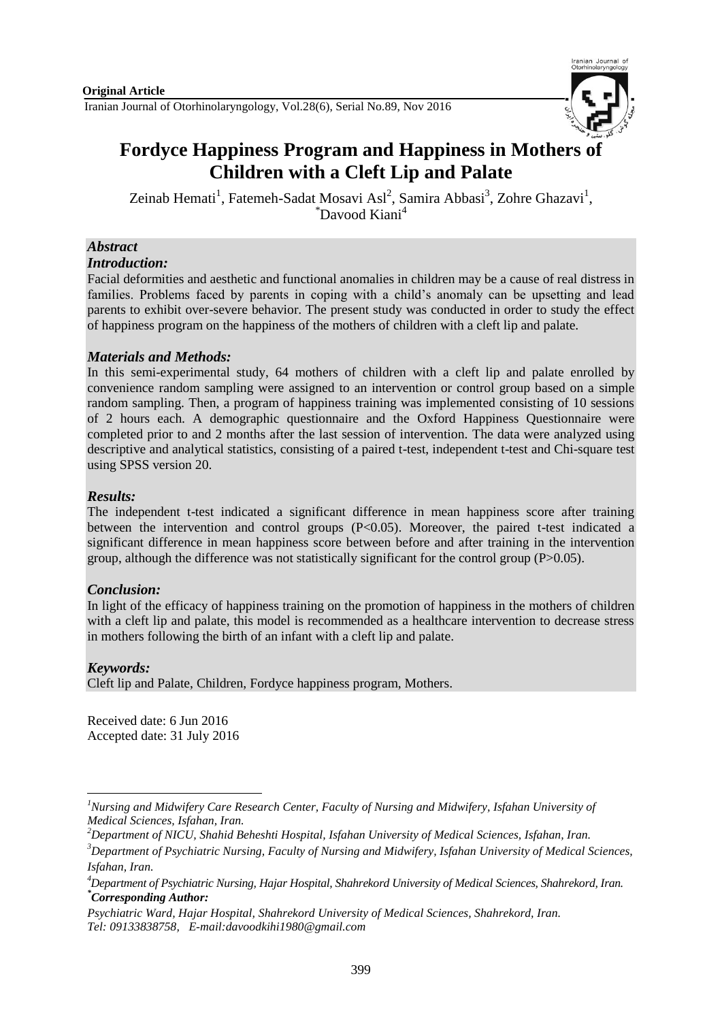

# **Fordyce Happiness Program and Happiness in Mothers of Children with a Cleft Lip and Palate**

Zeinab Hemati<sup>1</sup>, Fatemeh-Sadat Mosavi Asl<sup>2</sup>, Samira Abbasi<sup>3</sup>, Zohre Ghazavi<sup>1</sup>, *\**Davood Kiani<sup>4</sup>

# *Abstract*

## *Introduction:*

Facial deformities and aesthetic and functional anomalies in children may be a cause of real distress in families. Problems faced by parents in coping with a child's anomaly can be upsetting and lead parents to exhibit over-severe behavior. The present study was conducted in order to study the effect of happiness program on the happiness of the mothers of children with a cleft lip and palate.

## *Materials and Methods:*

In this semi-experimental study, 64 mothers of children with a cleft lip and palate enrolled by convenience random sampling were assigned to an intervention or control group based on a simple random sampling. Then, a program of happiness training was implemented consisting of 10 sessions of 2 hours each. A demographic questionnaire and the Oxford Happiness Questionnaire were completed prior to and 2 months after the last session of intervention. The data were analyzed using descriptive and analytical statistics, consisting of a paired t-test, independent t-test and Chi-square test using SPSS version 20.

## *Results:*

The independent t-test indicated a significant difference in mean happiness score after training between the intervention and control groups (P<0.05). Moreover, the paired t-test indicated a significant difference in mean happiness score between before and after training in the intervention group, although the difference was not statistically significant for the control group  $(P>0.05)$ .

## *Conclusion:*

In light of the efficacy of happiness training on the promotion of happiness in the mothers of children with a cleft lip and palate, this model is recommended as a healthcare intervention to decrease stress in mothers following the birth of an infant with a cleft lip and palate.

## *Keywords:*

Cleft lip and Palate, Children, Fordyce happiness program, Mothers.

Received date: 6 Jun 2016 Accepted date: 31 July 2016

*<sup>2</sup>Department of NICU, Shahid Beheshti Hospital, Isfahan University of Medical Sciences, Isfahan, Iran.*

**<sup>.</sup>** *<sup>1</sup>Nursing and Midwifery Care Research Center, Faculty of Nursing and Midwifery, Isfahan University of Medical Sciences, Isfahan, Iran.*

*<sup>3</sup>Department of Psychiatric Nursing, Faculty of Nursing and Midwifery, Isfahan University of Medical Sciences, Isfahan, Iran.*

*<sup>4</sup>Department of Psychiatric Nursing, Hajar Hospital, Shahrekord University of Medical Sciences, Shahrekord, Iran. \*Corresponding Author:*

*Psychiatric Ward, Hajar Hospital, Shahrekord University of Medical Sciences, Shahrekord, Iran. Tel: 09133838758, E-mail:davoodkihi1980@gmail.com*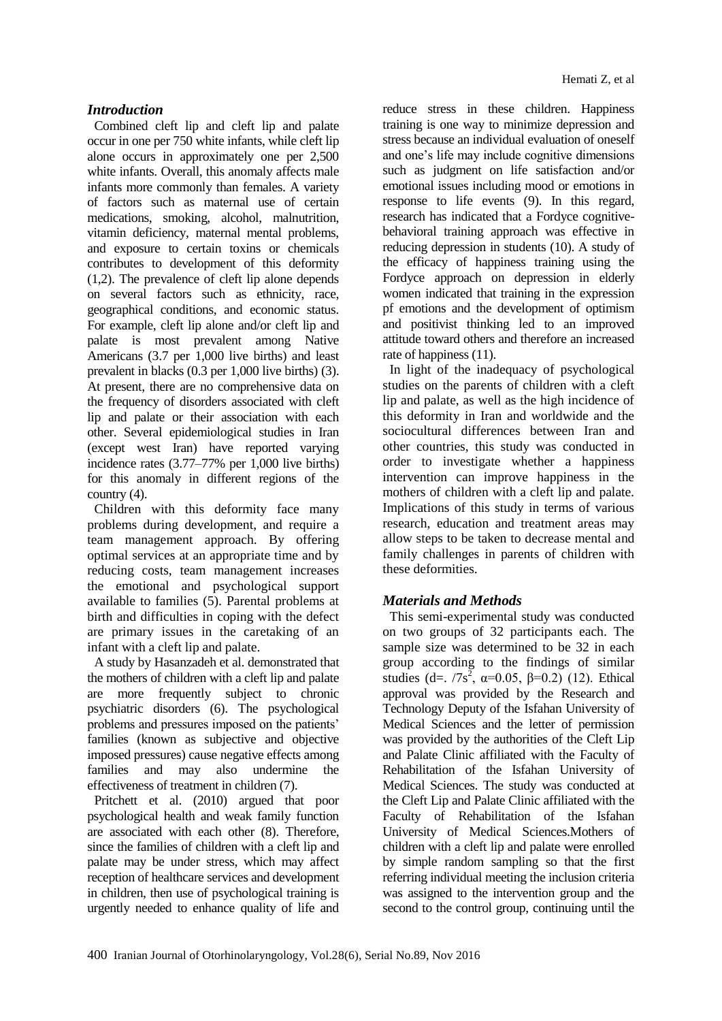## *Introduction*

Combined cleft lip and cleft lip and palate occur in one per 750 white infants, while cleft lip alone occurs in approximately one per 2,500 white infants. Overall, this anomaly affects male infants more commonly than females. A variety of factors such as maternal use of certain medications, smoking, alcohol, malnutrition, vitamin deficiency, maternal mental problems, and exposure to certain toxins or chemicals contributes to development of this deformity (1,2). The prevalence of cleft lip alone depends on several factors such as ethnicity, race, geographical conditions, and economic status. For example, cleft lip alone and/or cleft lip and palate is most prevalent among Native Americans (3.7 per 1,000 live births) and least prevalent in blacks (0.3 per 1,000 live births) (3). At present, there are no comprehensive data on the frequency of disorders associated with cleft lip and palate or their association with each other. Several epidemiological studies in Iran (except west Iran) have reported varying incidence rates (3.77–77% per 1,000 live births) for this anomaly in different regions of the country (4).

Children with this deformity face many problems during development, and require a team management approach. By offering optimal services at an appropriate time and by reducing costs, team management increases the emotional and psychological support available to families (5). Parental problems at birth and difficulties in coping with the defect are primary issues in the caretaking of an infant with a cleft lip and palate.

A study by Hasanzadeh et al. demonstrated that the mothers of children with a cleft lip and palate are more frequently subject to chronic psychiatric disorders (6). The psychological problems and pressures imposed on the patients' families (known as subjective and objective imposed pressures) cause negative effects among families and may also undermine the effectiveness of treatment in children (7).

Pritchett et al. (2010) argued that poor psychological health and weak family function are associated with each other (8). Therefore, since the families of children with a cleft lip and palate may be under stress, which may affect reception of healthcare services and development in children, then use of psychological training is urgently needed to enhance quality of life and

reduce stress in these children. Happiness training is one way to minimize depression and stress because an individual evaluation of oneself and one's life may include cognitive dimensions such as judgment on life satisfaction and/or emotional issues including mood or emotions in response to life events (9). In this regard, research has indicated that a Fordyce cognitivebehavioral training approach was effective in reducing depression in students (10). A study of the efficacy of happiness training using the Fordyce approach on depression in elderly women indicated that training in the expression pf emotions and the development of optimism and positivist thinking led to an improved attitude toward others and therefore an increased rate of happiness  $(11)$ .

In light of the inadequacy of psychological studies on the parents of children with a cleft lip and palate, as well as the high incidence of this deformity in Iran and worldwide and the sociocultural differences between Iran and other countries, this study was conducted in order to investigate whether a happiness intervention can improve happiness in the mothers of children with a cleft lip and palate. Implications of this study in terms of various research, education and treatment areas may allow steps to be taken to decrease mental and family challenges in parents of children with these deformities.

## *Materials and Methods*

This semi-experimental study was conducted on two groups of 32 participants each. The sample size was determined to be 32 in each group according to the findings of similar studies (d=. /7s<sup>2</sup>,  $\alpha$ =0.05,  $\beta$ =0.2) (12). Ethical approval was provided by the Research and Technology Deputy of the Isfahan University of Medical Sciences and the letter of permission was provided by the authorities of the Cleft Lip and Palate Clinic affiliated with the Faculty of Rehabilitation of the Isfahan University of Medical Sciences. The study was conducted at the Cleft Lip and Palate Clinic affiliated with the Faculty of Rehabilitation of the Isfahan University of Medical Sciences.Mothers of children with a cleft lip and palate were enrolled by simple random sampling so that the first referring individual meeting the inclusion criteria was assigned to the intervention group and the second to the control group, continuing until the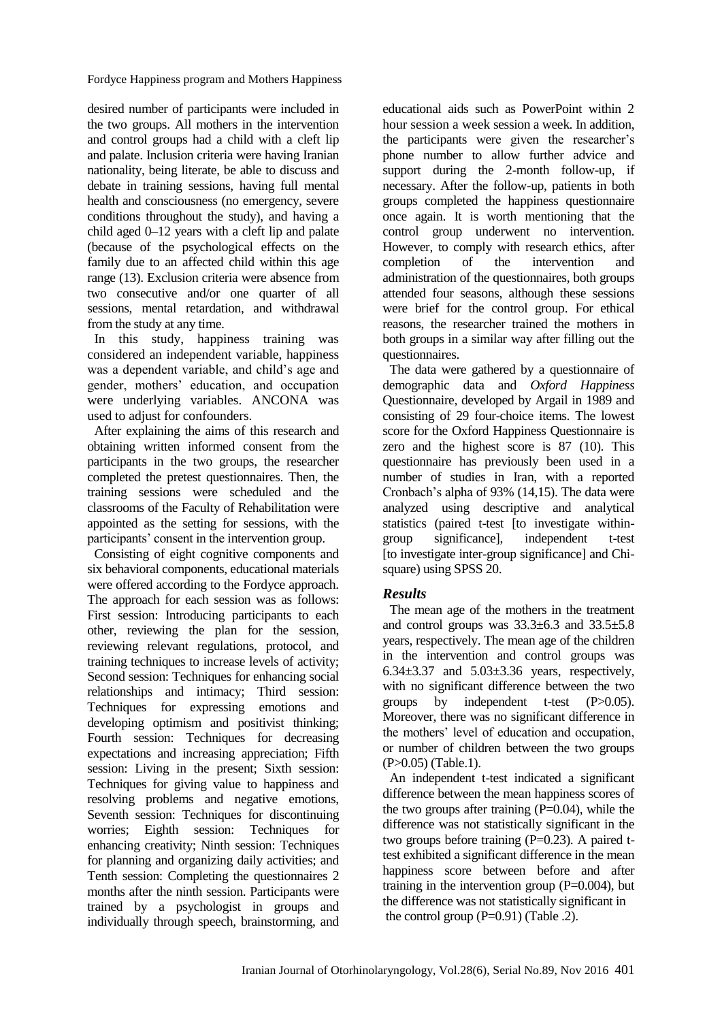Fordyce Happiness program and Mothers Happiness

desired number of participants were included in the two groups. All mothers in the intervention and control groups had a child with a cleft lip and palate. Inclusion criteria were having Iranian nationality, being literate, be able to discuss and debate in training sessions, having full mental health and consciousness (no emergency, severe conditions throughout the study), and having a child aged 0–12 years with a cleft lip and palate (because of the psychological effects on the family due to an affected child within this age range (13). Exclusion criteria were absence from two consecutive and/or one quarter of all sessions, mental retardation, and withdrawal from the study at any time.

In this study, happiness training was considered an independent variable, happiness was a dependent variable, and child's age and gender, mothers' education, and occupation were underlying variables. ANCONA was used to adjust for confounders.

After explaining the aims of this research and obtaining written informed consent from the participants in the two groups, the researcher completed the pretest questionnaires. Then, the training sessions were scheduled and the classrooms of the Faculty of Rehabilitation were appointed as the setting for sessions, with the participants' consent in the intervention group.

Consisting of eight cognitive components and six behavioral components, educational materials were offered according to the Fordyce approach. The approach for each session was as follows: First session: Introducing participants to each other, reviewing the plan for the session, reviewing relevant regulations, protocol, and training techniques to increase levels of activity; Second session: Techniques for enhancing social relationships and intimacy; Third session: Techniques for expressing emotions and developing optimism and positivist thinking; Fourth session: Techniques for decreasing expectations and increasing appreciation; Fifth session: Living in the present; Sixth session: Techniques for giving value to happiness and resolving problems and negative emotions, Seventh session: Techniques for discontinuing worries; Eighth session: Techniques for enhancing creativity; Ninth session: Techniques for planning and organizing daily activities; and Tenth session: Completing the questionnaires 2 months after the ninth session. Participants were trained by a psychologist in groups and individually through speech, brainstorming, and

educational aids such as PowerPoint within 2 hour session a week session a week. In addition, the participants were given the researcher's phone number to allow further advice and support during the 2-month follow-up, if necessary. After the follow-up, patients in both groups completed the happiness questionnaire once again. It is worth mentioning that the control group underwent no intervention. However, to comply with research ethics, after completion of the intervention and administration of the questionnaires, both groups attended four seasons, although these sessions were brief for the control group. For ethical reasons, the researcher trained the mothers in both groups in a similar way after filling out the questionnaires.

The data were gathered by a questionnaire of demographic data and *Oxford Happiness*  Questionnaire, developed by Argail in 1989 and consisting of 29 four-choice items. The lowest score for the Oxford Happiness Questionnaire is zero and the highest score is 87 (10). This questionnaire has previously been used in a number of studies in Iran, with a reported Cronbach's alpha of 93% (14,15). The data were analyzed using descriptive and analytical statistics (paired t-test [to investigate withingroup significance], independent t-test [to investigate inter-group significance] and Chisquare) using SPSS 20.

## *Results*

The mean age of the mothers in the treatment and control groups was  $33.3\pm6.3$  and  $33.5\pm5.8$ years, respectively. The mean age of the children in the intervention and control groups was 6.34±3.37 and 5.03±3.36 years, respectively, with no significant difference between the two groups by independent t-test (P>0.05). Moreover, there was no significant difference in the mothers' level of education and occupation, or number of children between the two groups (P>0.05) (Table.1).

An independent t-test indicated a significant difference between the mean happiness scores of the two groups after training  $(P=0.04)$ , while the difference was not statistically significant in the two groups before training  $(P=0.23)$ . A paired ttest exhibited a significant difference in the mean happiness score between before and after training in the intervention group  $(P=0.004)$ , but the difference was not statistically significant in the control group  $(P=0.91)$  (Table .2).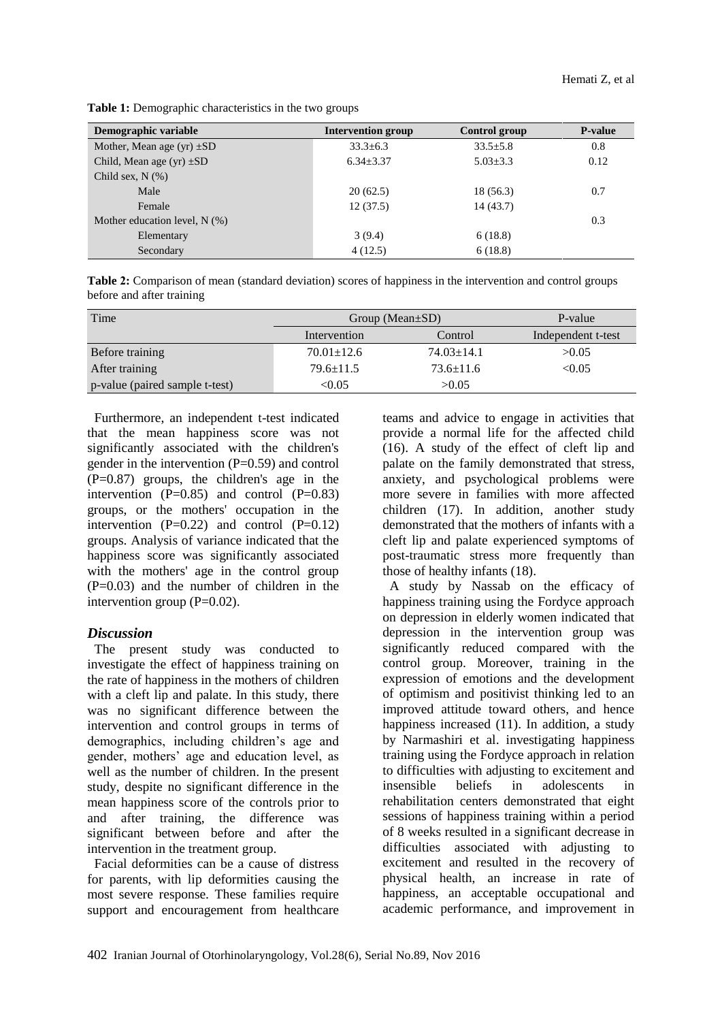| Demographic variable            | <b>Intervention group</b> | Control group  | <b>P-value</b> |
|---------------------------------|---------------------------|----------------|----------------|
| Mother, Mean age $(yr) \pm SD$  | $33.3 \pm 6.3$            | $33.5 \pm 5.8$ | 0.8            |
| Child, Mean age $(yr) \pm SD$   | $6.34 \pm 3.37$           | $5.03 \pm 3.3$ | 0.12           |
| Child sex, $N$ $(\%)$           |                           |                |                |
| Male                            | 20(62.5)                  | 18 (56.3)      | 0.7            |
| Female                          | 12(37.5)                  | 14 (43.7)      |                |
| Mother education level, $N$ (%) |                           |                | 0.3            |
| Elementary                      | 3(9.4)                    | 6(18.8)        |                |
| Secondary                       | 4(12.5)                   | 6(18.8)        |                |

Table 1: Demographic characteristics in the two groups

**Table 2:** Comparison of mean (standard deviation) scores of happiness in the intervention and control groups before and after training

| Time                           | Group (Mean $\pm SD$ ) |                  | P-value            |
|--------------------------------|------------------------|------------------|--------------------|
|                                | Intervention           | Control          | Independent t-test |
| Before training                | $70.01 \pm 12.6$       | $74.03 \pm 14.1$ | >0.05              |
| After training                 | $79.6 \pm 11.5$        | $73.6 \pm 11.6$  | < 0.05             |
| p-value (paired sample t-test) | < 0.05                 | >0.05            |                    |

Furthermore, an independent t-test indicated that the mean happiness score was not significantly associated with the children's gender in the intervention  $(P=0.59)$  and control (P=0.87) groups, the children's age in the intervention  $(P=0.85)$  and control  $(P=0.83)$ groups, or the mothers' occupation in the intervention  $(P=0.22)$  and control  $(P=0.12)$ groups. Analysis of variance indicated that the happiness score was significantly associated with the mothers' age in the control group (P=0.03) and the number of children in the intervention group  $(P=0.02)$ .

#### *Discussion*

The present study was conducted to investigate the effect of happiness training on the rate of happiness in the mothers of children with a cleft lip and palate. In this study, there was no significant difference between the intervention and control groups in terms of demographics, including children's age and gender, mothers' age and education level, as well as the number of children. In the present study, despite no significant difference in the mean happiness score of the controls prior to and after training, the difference was significant between before and after the intervention in the treatment group.

Facial deformities can be a cause of distress for parents, with lip deformities causing the most severe response. These families require support and encouragement from healthcare

teams and advice to engage in activities that provide a normal life for the affected child (16). A study of the effect of cleft lip and palate on the family demonstrated that stress, anxiety, and psychological problems were more severe in families with more affected children (17). In addition, another study demonstrated that the mothers of infants with a cleft lip and palate experienced symptoms of post-traumatic stress more frequently than those of healthy infants (18).

A study by Nassab on the efficacy of happiness training using the Fordyce approach on depression in elderly women indicated that depression in the intervention group was significantly reduced compared with the control group. Moreover, training in the expression of emotions and the development of optimism and positivist thinking led to an improved attitude toward others, and hence happiness increased (11). In addition, a study by Narmashiri et al. investigating happiness training using the Fordyce approach in relation to difficulties with adjusting to excitement and insensible beliefs in adolescents in rehabilitation centers demonstrated that eight sessions of happiness training within a period of 8 weeks resulted in a significant decrease in difficulties associated with adjusting to excitement and resulted in the recovery of physical health, an increase in rate of happiness, an acceptable occupational and academic performance, and improvement in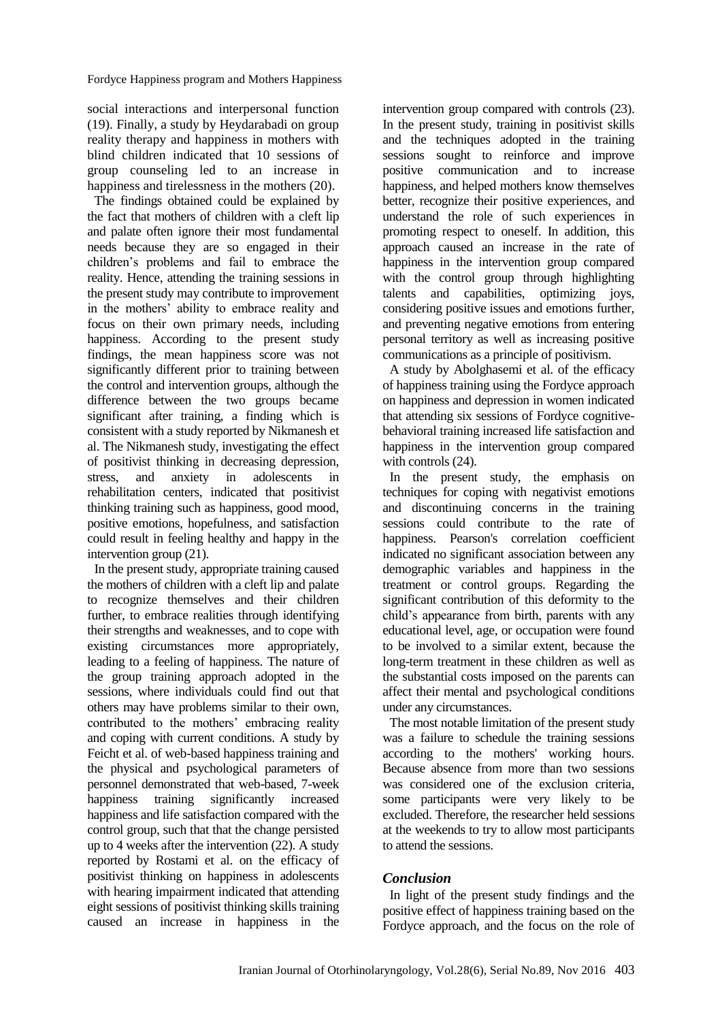social interactions and interpersonal function (19). Finally, a study by Heydarabadi on group reality therapy and happiness in mothers with blind children indicated that 10 sessions of group counseling led to an increase in happiness and tirelessness in the mothers (20).

The findings obtained could be explained by the fact that mothers of children with a cleft lip and palate often ignore their most fundamental needs because they are so engaged in their children's problems and fail to embrace the reality. Hence, attending the training sessions in the present study may contribute to improvement in the mothers' ability to embrace reality and focus on their own primary needs, including happiness. According to the present study findings, the mean happiness score was not significantly different prior to training between the control and intervention groups, although the difference between the two groups became significant after training, a finding which is consistent with a study reported by Nikmanesh et al. The Nikmanesh study, investigating the effect of positivist thinking in decreasing depression, stress, and anxiety in adolescents in rehabilitation centers, indicated that positivist thinking training such as happiness, good mood, positive emotions, hopefulness, and satisfaction could result in feeling healthy and happy in the intervention group (21).

In the present study, appropriate training caused the mothers of children with a cleft lip and palate to recognize themselves and their children further, to embrace realities through identifying their strengths and weaknesses, and to cope with existing circumstances more appropriately, leading to a feeling of happiness. The nature of the group training approach adopted in the sessions, where individuals could find out that others may have problems similar to their own, contributed to the mothers' embracing reality and coping with current conditions. A study by Feicht et al. of web-based happiness training and the physical and psychological parameters of personnel demonstrated that web-based, 7-week happiness training significantly increased happiness and life satisfaction compared with the control group, such that that the change persisted up to 4 weeks after the intervention (22). A study reported by Rostami et al. on the efficacy of positivist thinking on happiness in adolescents with hearing impairment indicated that attending eight sessions of positivist thinking skills training caused an increase in happiness in the intervention group compared with controls (23). In the present study, training in positivist skills and the techniques adopted in the training sessions sought to reinforce and improve positive communication and to increase happiness, and helped mothers know themselves better, recognize their positive experiences, and understand the role of such experiences in promoting respect to oneself. In addition, this approach caused an increase in the rate of happiness in the intervention group compared with the control group through highlighting talents and capabilities, optimizing joys, considering positive issues and emotions further, and preventing negative emotions from entering personal territory as well as increasing positive communications as a principle of positivism.

A study by Abolghasemi et al. of the efficacy of happiness training using the Fordyce approach on happiness and depression in women indicated that attending six sessions of Fordyce cognitivebehavioral training increased life satisfaction and happiness in the intervention group compared with controls  $(24)$ .

In the present study, the emphasis on techniques for coping with negativist emotions and discontinuing concerns in the training sessions could contribute to the rate of happiness. Pearson's correlation coefficient indicated no significant association between any demographic variables and happiness in the treatment or control groups. Regarding the significant contribution of this deformity to the child's appearance from birth, parents with any educational level, age, or occupation were found to be involved to a similar extent, because the long-term treatment in these children as well as the substantial costs imposed on the parents can affect their mental and psychological conditions under any circumstances.

The most notable limitation of the present study was a failure to schedule the training sessions according to the mothers' working hours. Because absence from more than two sessions was considered one of the exclusion criteria, some participants were very likely to be excluded. Therefore, the researcher held sessions at the weekends to try to allow most participants to attend the sessions.

#### *Conclusion*

In light of the present study findings and the positive effect of happiness training based on the Fordyce approach, and the focus on the role of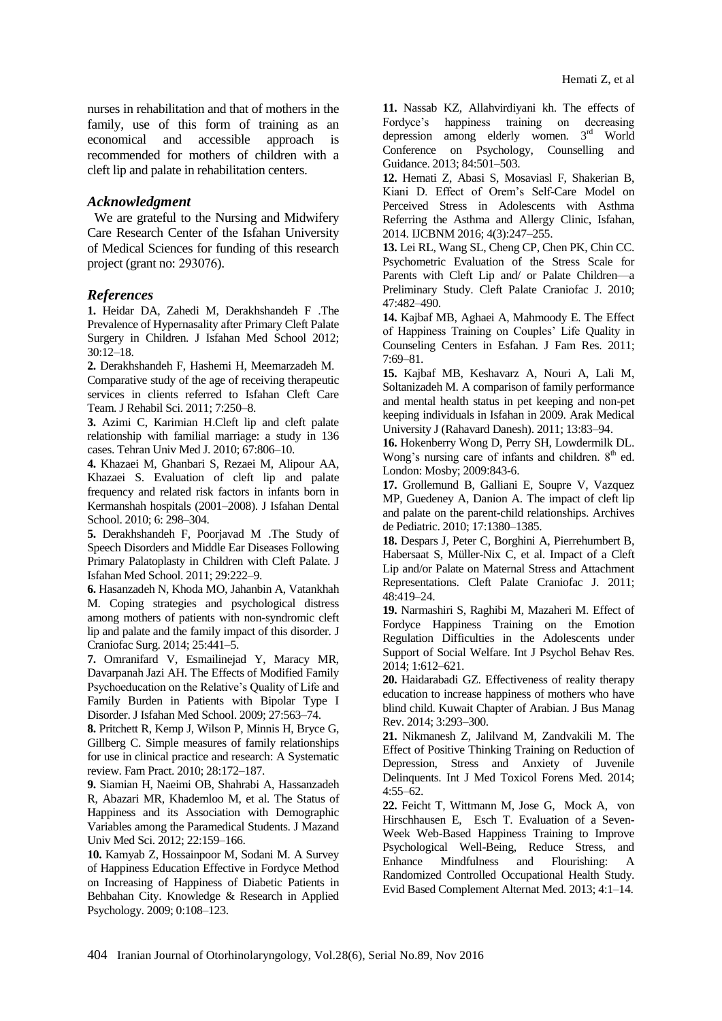nurses in rehabilitation and that of mothers in the family, use of this form of training as an economical and accessible approach is recommended for mothers of children with a cleft lip and palate in rehabilitation centers.

#### *Acknowledgment*

We are grateful to the Nursing and Midwifery Care Research Center of the Isfahan University of Medical Sciences for funding of this research project (grant no:  $293076$ ).

#### *References*

**1.** Heidar DA, Zahedi M, Derakhshandeh F .The Prevalence of Hypernasality after Primary Cleft Palate Surgery in Children. J Isfahan Med School 2012; 30:12–18.

**2.** Derakhshandeh F, Hashemi H, Meemarzadeh M. Comparative study of the age of receiving therapeutic services in clients referred to Isfahan Cleft Care Team. J Rehabil Sci. 2011; 7:250–8.

**3.** Azimi C, Karimian H.Cleft lip and cleft palate relationship with familial marriage: a study in 136 cases. Tehran Univ Med J. 2010; 67:806–10.

**4.** Khazaei M, Ghanbari S, Rezaei M, Alipour AA, Khazaei S. Evaluation of cleft lip and palate frequency and related risk factors in infants born in Kermanshah hospitals (2001–2008). J Isfahan Dental School. 2010; 6: 298–304.

**5.** Derakhshandeh F, Poorjavad M .The Study of Speech Disorders and Middle Ear Diseases Following Primary Palatoplasty in Children with Cleft Palate. J Isfahan Med School. 2011; 29:222–9.

**6.** [Hasanzadeh N,](file://pubmed) Khoda MO, [Jahanbin A, Vatankhah](file://pubmed)  [M.](file://pubmed) Coping strategies and psychological distress among mothers of patients with non-syndromic cleft lip and palate and the family impact of this disorder. J Craniofac Surg. 2014; 25:441–5.

**7.** Omranifard V, Esmailinejad Y, Maracy MR, Davarpanah Jazi AH. The Effects of Modified Family Psychoeducation on the Relative's Quality of Life and Family Burden in Patients with Bipolar Type I Disorder. J Isfahan Med School. 2009; 27:563–74.

**8.** [Pritchett R,](http://www.ncbi.nlm.nih.gov/pubmed/?term=Pritchett%20R%5BAuthor%5D&cauthor=true&cauthor_uid=20978241) [Kemp J,](http://www.ncbi.nlm.nih.gov/pubmed/?term=Kemp%20J%5BAuthor%5D&cauthor=true&cauthor_uid=20978241) [Wilson P,](http://www.ncbi.nlm.nih.gov/pubmed/?term=Wilson%20P%5BAuthor%5D&cauthor=true&cauthor_uid=20978241) [Minnis H,](http://www.ncbi.nlm.nih.gov/pubmed/?term=Minnis%20H%5BAuthor%5D&cauthor=true&cauthor_uid=20978241) [Bryce G,](http://www.ncbi.nlm.nih.gov/pubmed/?term=Bryce%20G%5BAuthor%5D&cauthor=true&cauthor_uid=20978241)  [Gillberg C.](http://www.ncbi.nlm.nih.gov/pubmed/?term=Gillberg%20C%5BAuthor%5D&cauthor=true&cauthor_uid=20978241) Simple measures of family relationships for use in clinical practice and research: A Systematic review[. Fam Pract.](http://www.ncbi.nlm.nih.gov/pubmed/20978241) 2010; 28:172–187.

**9.** Siamian H, Naeimi OB, Shahrabi A, Hassanzadeh R, Abazari MR, Khademloo M, et al. The Status of Happiness and its Association with Demographic Variables among the Paramedical Students. J Mazand Univ Med Sci. 2012; 22:159–166.

**10.** Kamyab Z, Hossainpoor M, Sodani M. A Survey of Happiness Education Effective in Fordyce Method on Increasing of Happiness of Diabetic Patients in Behbahan City. Knowledge & Research in Applied Psychology. 2009; 0:108–123.

**11.** Nassab KZ, Allahvirdiyani kh. The effects of Fordyce's happiness training on decreasing depression among elderly women. 3rd World Conference on Psychology, Counselling and Guidance. 2013; 84:501–503.

**12.** Hemati Z, Abasi S, Mosaviasl F, Shakerian B, Kiani D. Effect of Orem's Self-Care Model on Perceived Stress in Adolescents with Asthma Referring the Asthma and Allergy Clinic, Isfahan, 2014. IJCBNM 2016; 4(3):247–255.

**13.** [Lei RL,](http://www.ncbi.nlm.nih.gov/pubmed/?term=Lei%20RL%5BAuthor%5D&cauthor=true&cauthor_uid=20187718) [Wang SL,](http://www.ncbi.nlm.nih.gov/pubmed/?term=Wang%20SL%5BAuthor%5D&cauthor=true&cauthor_uid=20187718) [Cheng CP,](http://www.ncbi.nlm.nih.gov/pubmed/?term=Cheng%20CP%5BAuthor%5D&cauthor=true&cauthor_uid=20187718) [Chen PK,](http://www.ncbi.nlm.nih.gov/pubmed/?term=Chen%20PK%5BAuthor%5D&cauthor=true&cauthor_uid=20187718) [Chin CC.](http://www.ncbi.nlm.nih.gov/pubmed/?term=Chin%20CC%5BAuthor%5D&cauthor=true&cauthor_uid=20187718) Psychometric Evaluation of the Stress Scale for Parents with Cleft Lip and/ or Palate Children—a Preliminary Study. [Cleft Palate Craniofac J.](http://www.ncbi.nlm.nih.gov/pubmed/20187718) 2010; 47:482–490.

**14.** Kajbaf MB, Aghaei A, Mahmoody E. The Effect of Happiness Training on Couples' Life Quality in Counseling Centers in Esfahan. J Fam Res. 2011; 7:69–81.

**15.** Kajbaf MB, Keshavarz A, Nouri A, Lali M, Soltanizadeh M. A comparison of family performance and mental health status in pet keeping and non-pet keeping individuals in Isfahan in 2009. Arak Medical University J (Rahavard Danesh). 2011; 13:83–94.

**16.** Hokenberry Wong D, Perry SH, Lowdermilk DL. Wong's nursing care of infants and children.  $8<sup>th</sup>$  ed. London: Mosby; 2009:843-6.

**17.** [Grollemund B,](http://www.ncbi.nlm.nih.gov/pubmed/?term=Grollemund%20B%5BAuthor%5D&cauthor=true&cauthor_uid=20685092) [Galliani E,](http://www.ncbi.nlm.nih.gov/pubmed/?term=Galliani%20E%5BAuthor%5D&cauthor=true&cauthor_uid=20685092) [Soupre V,](http://www.ncbi.nlm.nih.gov/pubmed/?term=Soupre%20V%5BAuthor%5D&cauthor=true&cauthor_uid=20685092) [Vazquez](http://www.ncbi.nlm.nih.gov/pubmed/?term=Vazquez%20MP%5BAuthor%5D&cauthor=true&cauthor_uid=20685092)  [MP,](http://www.ncbi.nlm.nih.gov/pubmed/?term=Vazquez%20MP%5BAuthor%5D&cauthor=true&cauthor_uid=20685092) [Guedeney A,](http://www.ncbi.nlm.nih.gov/pubmed/?term=Guedeney%20A%5BAuthor%5D&cauthor=true&cauthor_uid=20685092) [Danion A.](http://www.ncbi.nlm.nih.gov/pubmed/?term=Danion%20A%5BAuthor%5D&cauthor=true&cauthor_uid=20685092) The impact of cleft lip and palate on the parent-child relationships. [Archives](http://www.sciencedirect.com/science/journal/0929693X)  [de Pediatric.](http://www.sciencedirect.com/science/journal/0929693X) 2010[; 17:](http://www.sciencedirect.com/science/journal/0929693X/17/9)1380–1385.

**18.** [Despars J,](http://www.ncbi.nlm.nih.gov/pubmed/?term=Despars%20J%5BAuthor%5D&cauthor=true&cauthor_uid=20500071) [Peter C,](http://www.ncbi.nlm.nih.gov/pubmed/?term=Peter%20C%5BAuthor%5D&cauthor=true&cauthor_uid=20500071) [Borghini A,](http://www.ncbi.nlm.nih.gov/pubmed/?term=Borghini%20A%5BAuthor%5D&cauthor=true&cauthor_uid=20500071) [Pierrehumbert B,](http://www.ncbi.nlm.nih.gov/pubmed/?term=Pierrehumbert%20B%5BAuthor%5D&cauthor=true&cauthor_uid=20500071) [Habersaat S,](http://www.ncbi.nlm.nih.gov/pubmed/?term=Habersaat%20S%5BAuthor%5D&cauthor=true&cauthor_uid=20500071) [Müller-Nix C,](http://www.ncbi.nlm.nih.gov/pubmed/?term=M%C3%BCller-Nix%20C%5BAuthor%5D&cauthor=true&cauthor_uid=20500071) et al. Impact of a Cleft Lip and/or Palate on Maternal Stress and Attachment Representations. [Cleft Palate Craniofac J.](file:///J:/proposal/gozaresh%20payani.clift%20lip%20and%20palate/happiness%20article.clift%20lip/clift/20500071.htm) 2011; 48:419–24.

**19.** Narmashiri S, Raghibi M, Mazaheri M. Effect of Fordyce Happiness Training on the Emotion Regulation Difficulties in the Adolescents under Support of Social Welfare. Int J Psychol Behav Res. 2014; 1:612–621.

**20.** Haidarabadi GZ. Effectiveness of reality therapy education to increase happiness of mothers who have blind child. Kuwait Chapter of Arabian. J Bus Manag Rev. 2014; 3:293–300.

**21.** Nikmanesh Z, Jalilvand M, Zandvakili M. The Effect of Positive Thinking Training on Reduction of Depression, Stress and Anxiety of Juvenile Delinquents. Int J Med Toxicol Forens Med. 2014;  $4:55-\overline{62}$ .

**22.** Feicht T, Wittmann M, Jose G, [Mock](http://www.pubfacts.com/author/A+Mock) A, [von](http://www.pubfacts.com/author/E+von%20Hirschhausen)  [Hirschhausen](http://www.pubfacts.com/author/E+von%20Hirschhausen) E, [Esch](http://www.pubfacts.com/author/T+Esch) T. Evaluation of a Seven-Week Web-Based Happiness Training to Improve Psychological Well-Being, Reduce Stress, and Enhance Mindfulness and Flourishing: A Randomized Controlled Occupational Health Study. Evid Based Complement Alternat Med. 2013; 4:1–14.